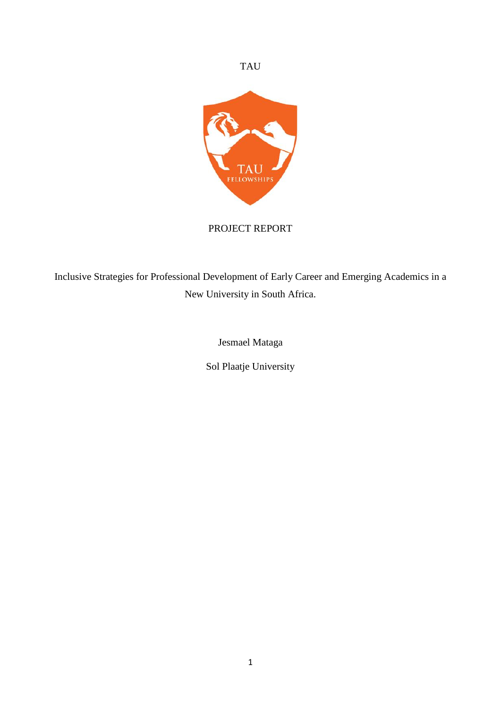

# PROJECT REPORT

Inclusive Strategies for Professional Development of Early Career and Emerging Academics in a New University in South Africa.

Jesmael Mataga

Sol Plaatje University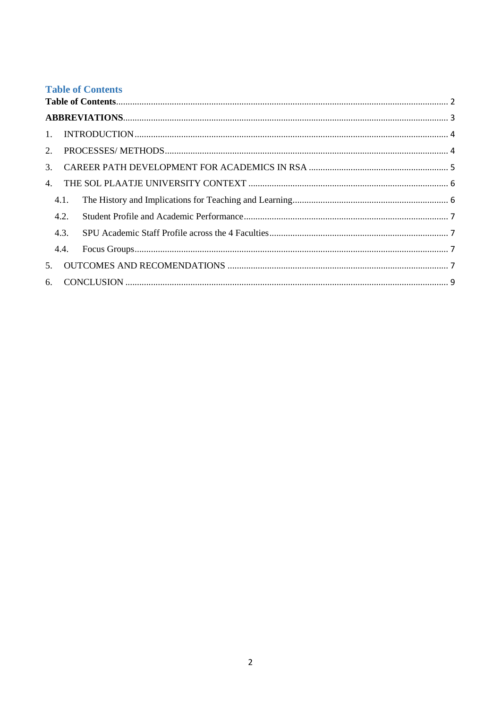## <span id="page-1-0"></span>**Table of Contents**

|    | 4.1. |  |  |  |  |  |
|----|------|--|--|--|--|--|
|    | 4.2. |  |  |  |  |  |
|    | 4.3. |  |  |  |  |  |
|    | 4.4. |  |  |  |  |  |
| 5. |      |  |  |  |  |  |
|    |      |  |  |  |  |  |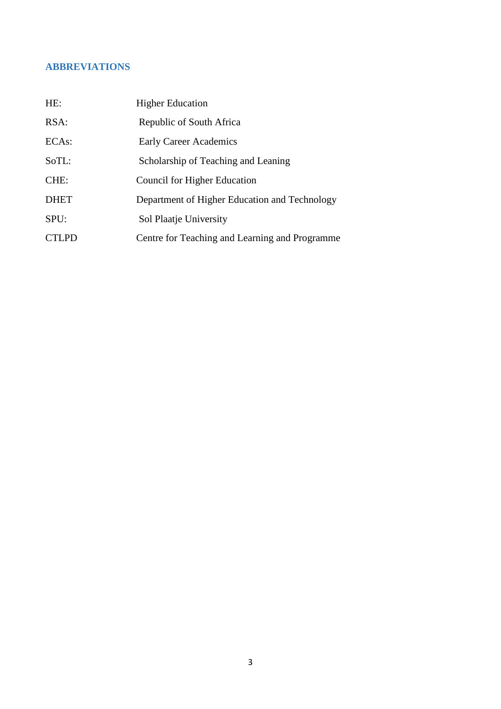# <span id="page-2-0"></span>**ABBREVIATIONS**

| HE:                | <b>Higher Education</b>                        |
|--------------------|------------------------------------------------|
| RSA:               | Republic of South Africa                       |
| ECA <sub>s</sub> : | <b>Early Career Academics</b>                  |
| SoTL:              | Scholarship of Teaching and Leaning            |
| CHE:               | Council for Higher Education                   |
| <b>DHET</b>        | Department of Higher Education and Technology  |
| SPU:               | Sol Plaatje University                         |
| <b>CTLPD</b>       | Centre for Teaching and Learning and Programme |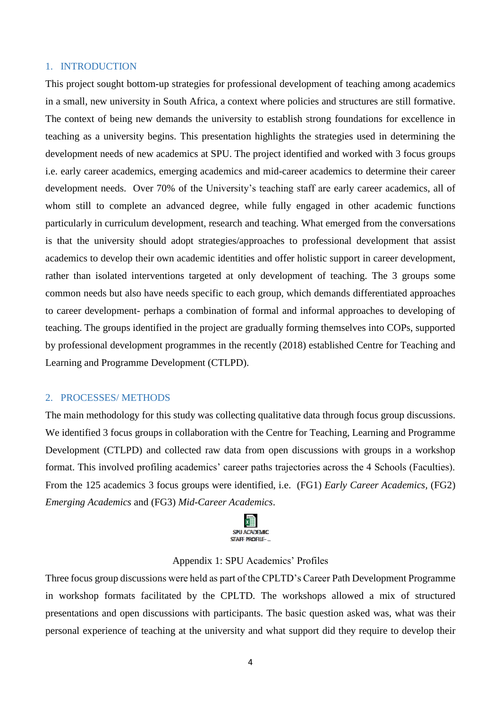#### <span id="page-3-0"></span>1. INTRODUCTION

This project sought bottom-up strategies for professional development of teaching among academics in a small, new university in South Africa, a context where policies and structures are still formative. The context of being new demands the university to establish strong foundations for excellence in teaching as a university begins. This presentation highlights the strategies used in determining the development needs of new academics at SPU. The project identified and worked with 3 focus groups i.e. early career academics, emerging academics and mid-career academics to determine their career development needs. Over 70% of the University's teaching staff are early career academics, all of whom still to complete an advanced degree, while fully engaged in other academic functions particularly in curriculum development, research and teaching. What emerged from the conversations is that the university should adopt strategies/approaches to professional development that assist academics to develop their own academic identities and offer holistic support in career development, rather than isolated interventions targeted at only development of teaching. The 3 groups some common needs but also have needs specific to each group, which demands differentiated approaches to career development- perhaps a combination of formal and informal approaches to developing of teaching. The groups identified in the project are gradually forming themselves into COPs, supported by professional development programmes in the recently (2018) established Centre for Teaching and Learning and Programme Development (CTLPD).

#### <span id="page-3-1"></span>2. PROCESSES/ METHODS

The main methodology for this study was collecting qualitative data through focus group discussions. We identified 3 focus groups in collaboration with the Centre for Teaching, Learning and Programme Development (CTLPD) and collected raw data from open discussions with groups in a workshop format. This involved profiling academics' career paths trajectories across the 4 Schools (Faculties). From the 125 academics 3 focus groups were identified, i.e. (FG1) *Early Career Academics,* (FG2) *Emerging Academics* and (FG3) *Mid-Career Academics*.



### Appendix 1: SPU Academics' Profiles

Three focus group discussions were held as part of the CPLTD's Career Path Development Programme in workshop formats facilitated by the CPLTD. The workshops allowed a mix of structured presentations and open discussions with participants. The basic question asked was, what was their personal experience of teaching at the university and what support did they require to develop their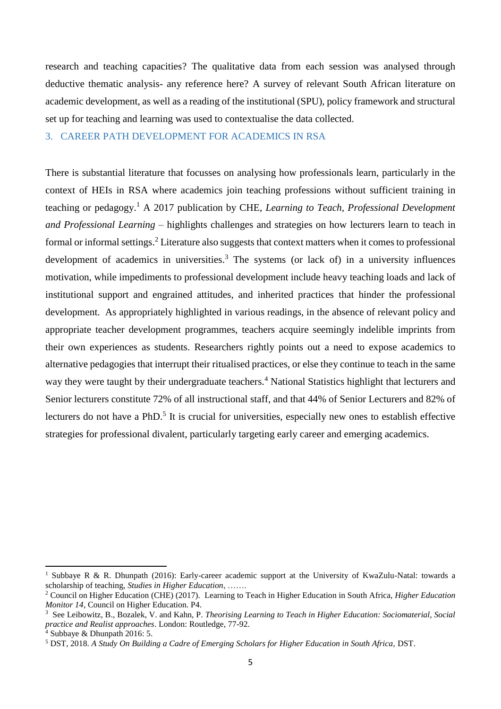research and teaching capacities? The qualitative data from each session was analysed through deductive thematic analysis- any reference here? A survey of relevant South African literature on academic development, as well as a reading of the institutional (SPU), policy framework and structural set up for teaching and learning was used to contextualise the data collected.

### <span id="page-4-0"></span>3. CAREER PATH DEVELOPMENT FOR ACADEMICS IN RSA

There is substantial literature that focusses on analysing how professionals learn, particularly in the context of HEIs in RSA where academics join teaching professions without sufficient training in teaching or pedagogy. <sup>1</sup> A 2017 publication by CHE, *Learning to Teach, Professional Development and Professional Learning* – highlights challenges and strategies on how lecturers learn to teach in formal or informal settings.<sup>2</sup> Literature also suggests that context matters when it comes to professional development of academics in universities.<sup>3</sup> The systems (or lack of) in a university influences motivation, while impediments to professional development include heavy teaching loads and lack of institutional support and engrained attitudes, and inherited practices that hinder the professional development. As appropriately highlighted in various readings, in the absence of relevant policy and appropriate teacher development programmes, teachers acquire seemingly indelible imprints from their own experiences as students. Researchers rightly points out a need to expose academics to alternative pedagogies that interrupt their ritualised practices, or else they continue to teach in the same way they were taught by their undergraduate teachers.<sup>4</sup> National Statistics highlight that lecturers and Senior lecturers constitute 72% of all instructional staff, and that 44% of Senior Lecturers and 82% of lecturers do not have a PhD.<sup>5</sup> It is crucial for universities, especially new ones to establish effective strategies for professional divalent, particularly targeting early career and emerging academics.

**.** 

<sup>&</sup>lt;sup>1</sup> Subbaye R & R. Dhunpath (2016): Early-career academic support at the University of KwaZulu-Natal: towards a scholarship of teaching, *Studies in Higher Education*, …….

<sup>2</sup> Council on Higher Education (CHE) (2017). Learning to Teach in Higher Education in South Africa, *Higher Education Monitor 14*, Council on Higher Education. P4.

<sup>3</sup> See Leibowitz, B., Bozalek, V. and Kahn, P. *Theorising Learning to Teach in Higher Education: Sociomaterial, Social practice and Realist approaches*. London: Routledge, 77-92.

 $4$  Subbaye & Dhunpath 2016: 5.

<sup>5</sup> DST, 2018. *A Study On Building a Cadre of Emerging Scholars for Higher Education in South Africa,* DST.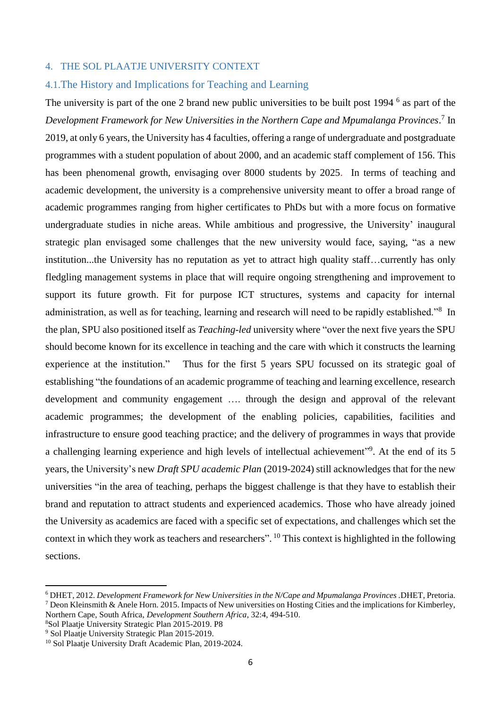#### <span id="page-5-0"></span>4. THE SOL PLAATJE UNIVERSITY CONTEXT

### <span id="page-5-1"></span>4.1.The History and Implications for Teaching and Learning

The university is part of the one 2 brand new public universities to be built post 1994<sup>6</sup> as part of the *Development Framework for New Universities in the Northern Cape and Mpumalanga Provinces*. 7 In 2019, at only 6 years, the University has 4 faculties, offering a range of undergraduate and postgraduate programmes with a student population of about 2000, and an academic staff complement of 156. This has been phenomenal growth, envisaging over 8000 students by 2025. In terms of teaching and academic development, the university is a comprehensive university meant to offer a broad range of academic programmes ranging from higher certificates to PhDs but with a more focus on formative undergraduate studies in niche areas. While ambitious and progressive, the University' inaugural strategic plan envisaged some challenges that the new university would face, saying, "as a new institution...the University has no reputation as yet to attract high quality staff…currently has only fledgling management systems in place that will require ongoing strengthening and improvement to support its future growth. Fit for purpose ICT structures, systems and capacity for internal administration, as well as for teaching, learning and research will need to be rapidly established."<sup>8</sup> In the plan, SPU also positioned itself as *Teaching-led* university where "over the next five years the SPU should become known for its excellence in teaching and the care with which it constructs the learning experience at the institution." Thus for the first 5 years SPU focussed on its strategic goal of establishing "the foundations of an academic programme of teaching and learning excellence, research development and community engagement …. through the design and approval of the relevant academic programmes; the development of the enabling policies, capabilities, facilities and infrastructure to ensure good teaching practice; and the delivery of programmes in ways that provide a challenging learning experience and high levels of intellectual achievement" 9 . At the end of its 5 years, the University's new *Draft SPU academic Plan* (2019-2024) still acknowledges that for the new universities "in the area of teaching, perhaps the biggest challenge is that they have to establish their brand and reputation to attract students and experienced academics. Those who have already joined the University as academics are faced with a specific set of expectations, and challenges which set the context in which they work as teachers and researchers". <sup>10</sup> This context is highlighted in the following sections.

<sup>8</sup>Sol Plaatje University Strategic Plan 2015-2019. P8 <sup>9</sup> Sol Plaatie University Strategic Plan 2015-2019.

1

<sup>6</sup> DHET, 2012. *Development Framework for New Universities in the N/Cape and Mpumalanga Provinces .*DHET, Pretoria. <sup>7</sup> Deon Kleinsmith & Anele Horn. 2015. Impacts of New universities on Hosting Cities and the implications for Kimberley, Northern Cape, South Africa, *Development Southern Africa*, 32:4, 494-510.

<sup>&</sup>lt;sup>10</sup> Sol Plaatje University Draft Academic Plan, 2019-2024.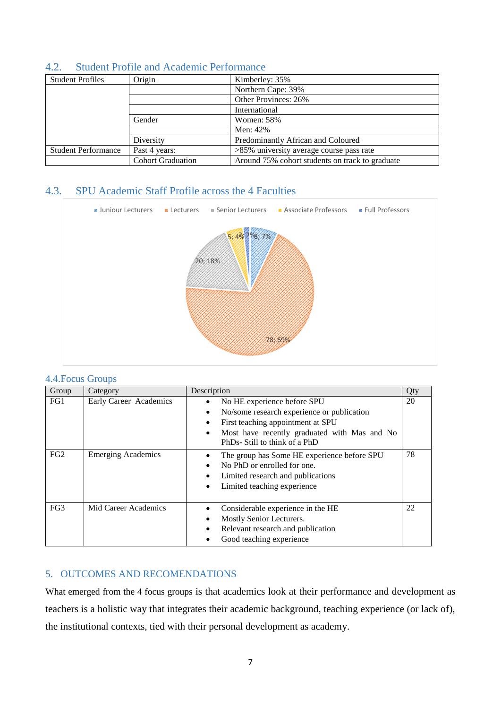| <b>Student Profiles</b>    | Origin                   | Kimberley: 35%                                  |  |  |  |  |  |
|----------------------------|--------------------------|-------------------------------------------------|--|--|--|--|--|
|                            |                          | Northern Cape: 39%                              |  |  |  |  |  |
|                            |                          | Other Provinces: 26%                            |  |  |  |  |  |
|                            |                          | International                                   |  |  |  |  |  |
|                            | Gender                   | <b>Women: 58%</b>                               |  |  |  |  |  |
|                            |                          | Men: 42%                                        |  |  |  |  |  |
|                            | Diversity                | Predominantly African and Coloured              |  |  |  |  |  |
| <b>Student Performance</b> | Past 4 years:            | >85% university average course pass rate        |  |  |  |  |  |
|                            | <b>Cohort Graduation</b> | Around 75% cohort students on track to graduate |  |  |  |  |  |

## <span id="page-6-0"></span>4.2. Student Profile and Academic Performance

# <span id="page-6-1"></span>4.3. SPU Academic Staff Profile across the 4 Faculties



### <span id="page-6-2"></span>4.4.Focus Groups

| Group | Category                  | Description                                                                                                                                                                                                                                | Qty |
|-------|---------------------------|--------------------------------------------------------------------------------------------------------------------------------------------------------------------------------------------------------------------------------------------|-----|
| FG1   | Early Career Academics    | No HE experience before SPU<br>$\bullet$<br>No/some research experience or publication<br>$\bullet$<br>First teaching appointment at SPU<br>٠<br>Most have recently graduated with Mas and No<br>$\bullet$<br>PhDs-Still to think of a PhD | 20  |
| FG2   | <b>Emerging Academics</b> | The group has Some HE experience before SPU<br>No PhD or enrolled for one.<br>$\bullet$<br>Limited research and publications<br>٠<br>Limited teaching experience                                                                           | 78  |
| FG3   | Mid Career Academics      | Considerable experience in the HE<br>Mostly Senior Lecturers.<br>$\bullet$<br>Relevant research and publication<br>$\bullet$<br>Good teaching experience                                                                                   | 22  |

## <span id="page-6-3"></span>5. OUTCOMES AND RECOMENDATIONS

What emerged from the 4 focus groups is that academics look at their performance and development as teachers is a holistic way that integrates their academic background, teaching experience (or lack of), the institutional contexts, tied with their personal development as academy.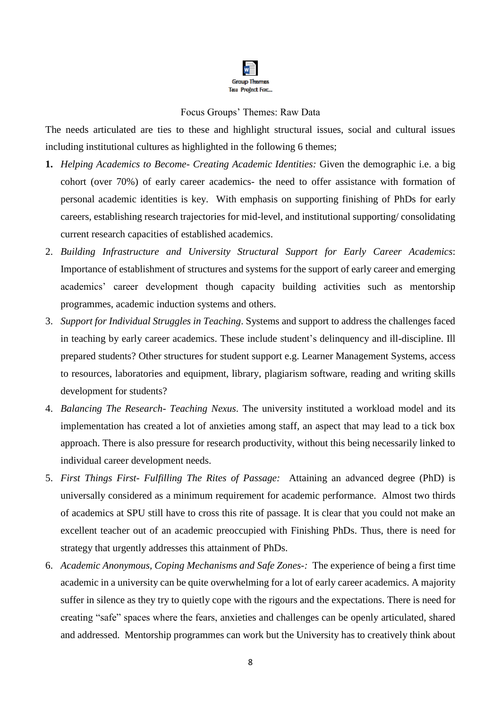

### Focus Groups' Themes: Raw Data

The needs articulated are ties to these and highlight structural issues, social and cultural issues including institutional cultures as highlighted in the following 6 themes;

- **1.** *Helping Academics to Become- Creating Academic Identities:* Given the demographic i.e. a big cohort (over 70%) of early career academics- the need to offer assistance with formation of personal academic identities is key. With emphasis on supporting finishing of PhDs for early careers, establishing research trajectories for mid-level, and institutional supporting/ consolidating current research capacities of established academics.
- 2. *Building Infrastructure and University Structural Support for Early Career Academics*: Importance of establishment of structures and systems for the support of early career and emerging academics' career development though capacity building activities such as mentorship programmes, academic induction systems and others.
- 3. *Support for Individual Struggles in Teaching*. Systems and support to address the challenges faced in teaching by early career academics. These include student's delinquency and ill-discipline. Ill prepared students? Other structures for student support e.g. Learner Management Systems, access to resources, laboratories and equipment, library, plagiarism software, reading and writing skills development for students?
- 4. *Balancing The Research- Teaching Nexus*. The university instituted a workload model and its implementation has created a lot of anxieties among staff, an aspect that may lead to a tick box approach. There is also pressure for research productivity, without this being necessarily linked to individual career development needs.
- 5. *First Things First- Fulfilling The Rites of Passage:* Attaining an advanced degree (PhD) is universally considered as a minimum requirement for academic performance. Almost two thirds of academics at SPU still have to cross this rite of passage. It is clear that you could not make an excellent teacher out of an academic preoccupied with Finishing PhDs. Thus, there is need for strategy that urgently addresses this attainment of PhDs.
- 6. *Academic Anonymous, Coping Mechanisms and Safe Zones-:* The experience of being a first time academic in a university can be quite overwhelming for a lot of early career academics. A majority suffer in silence as they try to quietly cope with the rigours and the expectations. There is need for creating "safe" spaces where the fears, anxieties and challenges can be openly articulated, shared and addressed. Mentorship programmes can work but the University has to creatively think about